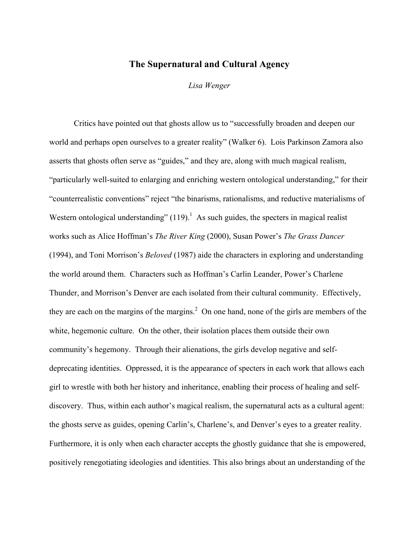## The Supernatural and Cultural Agency

*Lisa Wenger*

Critics have pointed out that ghosts allow us to "successfully broaden and deepen our world and perhaps open ourselves to a greater reality" (Walker 6). Lois Parkinson Zamora also asserts that ghosts often serve as "guides," and they are, along with much magical realism, "particularly well-suited to enlarging and enriching western ontological understanding," for their "counterrealistic conventions" reject "the binarisms, rationalisms, and reductive materialisms of Western ontological understanding"  $(119)$ .<sup>1</sup> As such guides, the specters in magical realist works such as Alice Hoffman's *The River King* (2000), Susan Power's *The Grass Dancer* (1994), and Toni Morrison's *Beloved* (1987) aide the characters in exploring and understanding the world around them. Characters such as Hoffman's Carlin Leander, Power's Charlene Thunder, and Morrison's Denver are each isolated from their cultural community. Effectively, they are each on the margins of the margins.<sup>2</sup> On one hand, none of the girls are members of the white, hegemonic culture. On the other, their isolation places them outside their own community's hegemony. Through their alienations, the girls develop negative and selfdeprecating identities. Oppressed, it is the appearance of specters in each work that allows each girl to wrestle with both her history and inheritance, enabling their process of healing and selfdiscovery. Thus, within each author's magical realism, the supernatural acts as a cultural agent: the ghosts serve as guides, opening Carlin's, Charlene's, and Denver's eyes to a greater reality. Furthermore, it is only when each character accepts the ghostly guidance that she is empowered, positively renegotiating ideologies and identities. This also brings about an understanding of the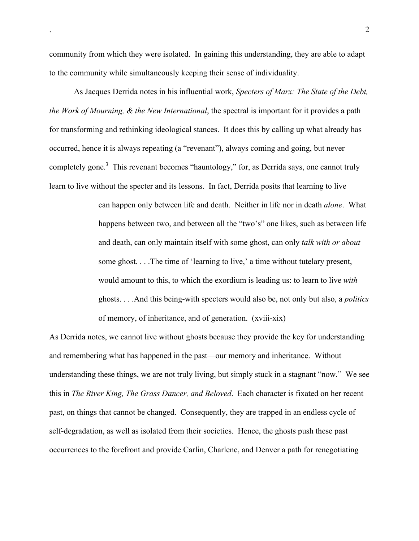community from which they were isolated. In gaining this understanding, they are able to adapt to the community while simultaneously keeping their sense of individuality.

As Jacques Derrida notes in his influential work, *Specters of Marx: The State of the Debt, the Work of Mourning, & the New International*, the spectral is important for it provides a path for transforming and rethinking ideological stances. It does this by calling up what already has occurred, hence it is always repeating (a "revenant"), always coming and going, but never completely gone.<sup>3</sup> This revenant becomes "hauntology," for, as Derrida says, one cannot truly learn to live without the specter and its lessons. In fact, Derrida posits that learning to live

> can happen only between life and death. Neither in life nor in death *alone*. What happens between two, and between all the "two's" one likes, such as between life and death, can only maintain itself with some ghost, can only *talk with or about* some ghost. . . .The time of 'learning to live,' a time without tutelary present, would amount to this, to which the exordium is leading us: to learn to live *with* ghosts. . . .And this being-with specters would also be, not only but also, a *politics* of memory, of inheritance, and of generation. (xviii-xix)

As Derrida notes, we cannot live without ghosts because they provide the key for understanding and remembering what has happened in the past—our memory and inheritance. Without understanding these things, we are not truly living, but simply stuck in a stagnant "now." We see this in *The River King, The Grass Dancer, and Beloved*. Each character is fixated on her recent past, on things that cannot be changed. Consequently, they are trapped in an endless cycle of self-degradation, as well as isolated from their societies. Hence, the ghosts push these past occurrences to the forefront and provide Carlin, Charlene, and Denver a path for renegotiating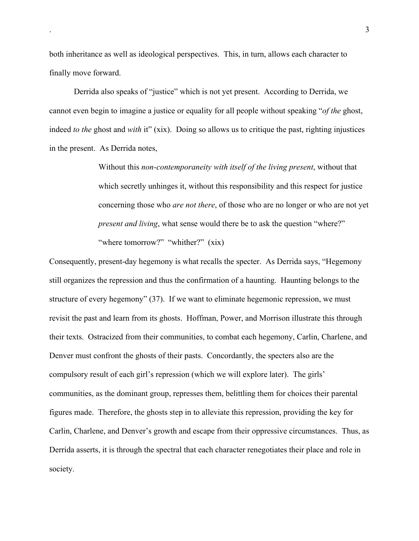both inheritance as well as ideological perspectives. This, in turn, allows each character to finally move forward.

Derrida also speaks of "justice" which is not yet present. According to Derrida, we cannot even begin to imagine a justice or equality for all people without speaking "*of the* ghost, indeed *to the* ghost and *with* it" (xix). Doing so allows us to critique the past, righting injustices in the present. As Derrida notes,

> Without this *non-contemporaneity with itself of the living present*, without that which secretly unhinges it, without this responsibility and this respect for justice concerning those who *are not there*, of those who are no longer or who are not yet *present and living*, what sense would there be to ask the question "where?" "where tomorrow?" "whither?" (xix)

Consequently, present-day hegemony is what recalls the specter. As Derrida says, "Hegemony still organizes the repression and thus the confirmation of a haunting. Haunting belongs to the structure of every hegemony" (37). If we want to eliminate hegemonic repression, we must revisit the past and learn from its ghosts. Hoffman, Power, and Morrison illustrate this through their texts. Ostracized from their communities, to combat each hegemony, Carlin, Charlene, and Denver must confront the ghosts of their pasts. Concordantly, the specters also are the compulsory result of each girl's repression (which we will explore later). The girls' communities, as the dominant group, represses them, belittling them for choices their parental figures made. Therefore, the ghosts step in to alleviate this repression, providing the key for Carlin, Charlene, and Denver's growth and escape from their oppressive circumstances. Thus, as Derrida asserts, it is through the spectral that each character renegotiates their place and role in society.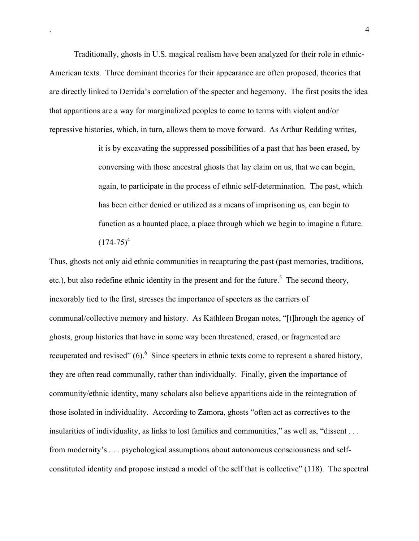Traditionally, ghosts in U.S. magical realism have been analyzed for their role in ethnic-American texts. Three dominant theories for their appearance are often proposed, theories that are directly linked to Derrida's correlation of the specter and hegemony. The first posits the idea that apparitions are a way for marginalized peoples to come to terms with violent and/or repressive histories, which, in turn, allows them to move forward. As Arthur Redding writes,

> it is by excavating the suppressed possibilities of a past that has been erased, by conversing with those ancestral ghosts that lay claim on us, that we can begin, again, to participate in the process of ethnic self-determination. The past, which has been either denied or utilized as a means of imprisoning us, can begin to function as a haunted place, a place through which we begin to imagine a future.  $(174-75)^4$

Thus, ghosts not only aid ethnic communities in recapturing the past (past memories, traditions, etc.), but also redefine ethnic identity in the present and for the future.<sup>5</sup> The second theory, inexorably tied to the first, stresses the importance of specters as the carriers of communal/collective memory and history. As Kathleen Brogan notes, "[t]hrough the agency of ghosts, group histories that have in some way been threatened, erased, or fragmented are recuperated and revised"  $(6)$ . Since specters in ethnic texts come to represent a shared history, they are often read communally, rather than individually. Finally, given the importance of community/ethnic identity, many scholars also believe apparitions aide in the reintegration of those isolated in individuality. According to Zamora, ghosts "often act as correctives to the insularities of individuality, as links to lost families and communities," as well as, "dissent . . . from modernity's . . . psychological assumptions about autonomous consciousness and selfconstituted identity and propose instead a model of the self that is collective" (118). The spectral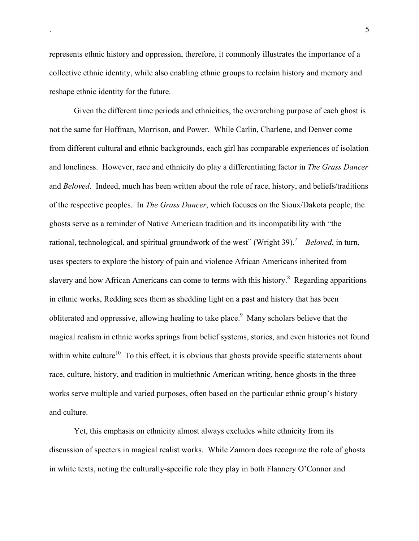represents ethnic history and oppression, therefore, it commonly illustrates the importance of a collective ethnic identity, while also enabling ethnic groups to reclaim history and memory and reshape ethnic identity for the future.

Given the different time periods and ethnicities, the overarching purpose of each ghost is not the same for Hoffman, Morrison, and Power. While Carlin, Charlene, and Denver come from different cultural and ethnic backgrounds, each girl has comparable experiences of isolation and loneliness. However, race and ethnicity do play a differentiating factor in *The Grass Dancer* and *Beloved*. Indeed, much has been written about the role of race, history, and beliefs/traditions of the respective peoples. In *The Grass Dancer*, which focuses on the Sioux/Dakota people, the ghosts serve as a reminder of Native American tradition and its incompatibility with "the rational, technological, and spiritual groundwork of the west" (Wright 39).<sup>7</sup> *Beloved*, in turn, uses specters to explore the history of pain and violence African Americans inherited from slavery and how African Americans can come to terms with this history.<sup>8</sup> Regarding apparitions in ethnic works, Redding sees them as shedding light on a past and history that has been obliterated and oppressive, allowing healing to take place.<sup>9</sup> Many scholars believe that the magical realism in ethnic works springs from belief systems, stories, and even histories not found within white culture<sup>10</sup> To this effect, it is obvious that ghosts provide specific statements about race, culture, history, and tradition in multiethnic American writing, hence ghosts in the three works serve multiple and varied purposes, often based on the particular ethnic group's history and culture.

Yet, this emphasis on ethnicity almost always excludes white ethnicity from its discussion of specters in magical realist works. While Zamora does recognize the role of ghosts in white texts, noting the culturally-specific role they play in both Flannery O'Connor and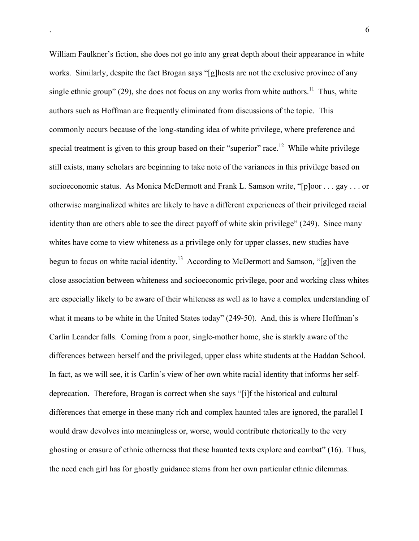William Faulkner's fiction, she does not go into any great depth about their appearance in white works. Similarly, despite the fact Brogan says "[g]hosts are not the exclusive province of any single ethnic group" (29), she does not focus on any works from white authors.<sup>11</sup> Thus, white authors such as Hoffman are frequently eliminated from discussions of the topic. This commonly occurs because of the long-standing idea of white privilege, where preference and special treatment is given to this group based on their "superior" race.<sup>12</sup> While white privilege still exists, many scholars are beginning to take note of the variances in this privilege based on socioeconomic status. As Monica McDermott and Frank L. Samson write, "[p]oor . . . gay . . . or otherwise marginalized whites are likely to have a different experiences of their privileged racial identity than are others able to see the direct payoff of white skin privilege" (249). Since many whites have come to view whiteness as a privilege only for upper classes, new studies have begun to focus on white racial identity.<sup>13</sup> According to McDermott and Samson, "[g]iven the close association between whiteness and socioeconomic privilege, poor and working class whites are especially likely to be aware of their whiteness as well as to have a complex understanding of what it means to be white in the United States today" (249-50). And, this is where Hoffman's Carlin Leander falls. Coming from a poor, single-mother home, she is starkly aware of the differences between herself and the privileged, upper class white students at the Haddan School. In fact, as we will see, it is Carlin's view of her own white racial identity that informs her selfdeprecation. Therefore, Brogan is correct when she says "[i]f the historical and cultural differences that emerge in these many rich and complex haunted tales are ignored, the parallel I would draw devolves into meaningless or, worse, would contribute rhetorically to the very ghosting or erasure of ethnic otherness that these haunted texts explore and combat" (16). Thus, the need each girl has for ghostly guidance stems from her own particular ethnic dilemmas.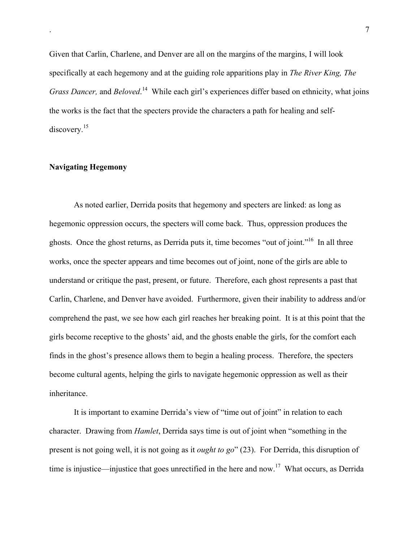Given that Carlin, Charlene, and Denver are all on the margins of the margins, I will look specifically at each hegemony and at the guiding role apparitions play in *The River King, The* Grass Dancer, and Beloved.<sup>14</sup> While each girl's experiences differ based on ethnicity, what joins the works is the fact that the specters provide the characters a path for healing and selfdiscovery.<sup>15</sup>

## Navigating Hegemony

As noted earlier, Derrida posits that hegemony and specters are linked: as long as hegemonic oppression occurs, the specters will come back. Thus, oppression produces the ghosts. Once the ghost returns, as Derrida puts it, time becomes "out of joint."<sup>16</sup> In all three works, once the specter appears and time becomes out of joint, none of the girls are able to understand or critique the past, present, or future. Therefore, each ghost represents a past that Carlin, Charlene, and Denver have avoided. Furthermore, given their inability to address and/or comprehend the past, we see how each girl reaches her breaking point. It is at this point that the girls become receptive to the ghosts' aid, and the ghosts enable the girls, for the comfort each finds in the ghost's presence allows them to begin a healing process. Therefore, the specters become cultural agents, helping the girls to navigate hegemonic oppression as well as their inheritance.

It is important to examine Derrida's view of "time out of joint" in relation to each character. Drawing from *Hamlet*, Derrida says time is out of joint when "something in the present is not going well, it is not going as it *ought to go*" (23). For Derrida, this disruption of time is injustice—injustice that goes unrectified in the here and now.<sup>17</sup> What occurs, as Derrida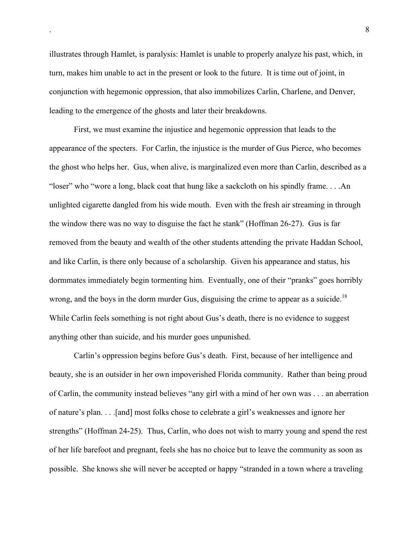illustrates through Hamlet, is paralysis: Hamlet is unable to properly analyze his past, which, in turn, makes him unable to act in the present or look to the future. It is time out of joint, in conjunction with hegemonic oppression, that also immobilizes Carlin, Charlene, and Denver, leading to the emergence of the ghosts and later their breakdowns.

First, we must examine the injustice and hegemonic oppression that leads to the appearance of the specters. For Carlin, the injustice is the murder of Gus Pierce, who becomes the ghost who helps her. Gus, when alive, is marginalized even more than Carlin, described as a "loser" who "wore a long, black coat that hung like a sackcloth on his spindly frame. . . .An unlighted cigarette dangled from his wide mouth. Even with the fresh air streaming in through the window there was no way to disguise the fact he stank" (Hoffman 26-27). Gus is far removed from the beauty and wealth of the other students attending the private Haddan School, and like Carlin, is there only because of a scholarship. Given his appearance and status, his dormmates immediately begin tormenting him. Eventually, one of their "pranks" goes horribly wrong, and the boys in the dorm murder Gus, disguising the crime to appear as a suicide.<sup>18</sup> While Carlin feels something is not right about Gus's death, there is no evidence to suggest anything other than suicide, and his murder goes unpunished.

Carlin's oppression begins before Gus's death. First, because of her intelligence and beauty, she is an outsider in her own impoverished Florida community. Rather than being proud of Carlin, the community instead believes "any girl with a mind of her own was . . . an aberration of nature's plan. . . .[and] most folks chose to celebrate a girl's weaknesses and ignore her strengths" (Hoffman 24-25). Thus, Carlin, who does not wish to marry young and spend the rest of her life barefoot and pregnant, feels she has no choice but to leave the community as soon as possible. She knows she will never be accepted or happy "stranded in a town where a traveling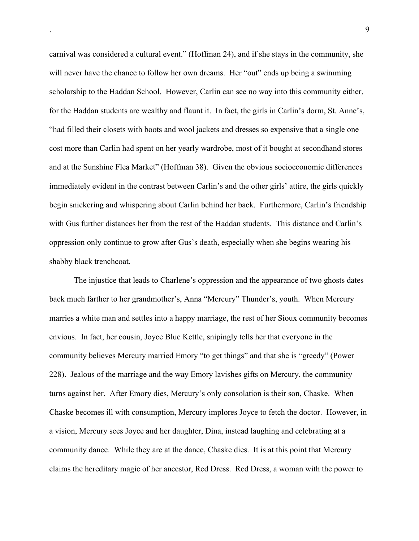carnival was considered a cultural event." (Hoffman 24), and if she stays in the community, she will never have the chance to follow her own dreams. Her "out" ends up being a swimming scholarship to the Haddan School. However, Carlin can see no way into this community either, for the Haddan students are wealthy and flaunt it. In fact, the girls in Carlin's dorm, St. Anne's, "had filled their closets with boots and wool jackets and dresses so expensive that a single one cost more than Carlin had spent on her yearly wardrobe, most of it bought at secondhand stores and at the Sunshine Flea Market" (Hoffman 38). Given the obvious socioeconomic differences immediately evident in the contrast between Carlin's and the other girls' attire, the girls quickly begin snickering and whispering about Carlin behind her back. Furthermore, Carlin's friendship with Gus further distances her from the rest of the Haddan students. This distance and Carlin's oppression only continue to grow after Gus's death, especially when she begins wearing his shabby black trenchcoat.

The injustice that leads to Charlene's oppression and the appearance of two ghosts dates back much farther to her grandmother's, Anna "Mercury" Thunder's, youth. When Mercury marries a white man and settles into a happy marriage, the rest of her Sioux community becomes envious. In fact, her cousin, Joyce Blue Kettle, snipingly tells her that everyone in the community believes Mercury married Emory "to get things" and that she is "greedy" (Power 228). Jealous of the marriage and the way Emory lavishes gifts on Mercury, the community turns against her. After Emory dies, Mercury's only consolation is their son, Chaske. When Chaske becomes ill with consumption, Mercury implores Joyce to fetch the doctor. However, in a vision, Mercury sees Joyce and her daughter, Dina, instead laughing and celebrating at a community dance. While they are at the dance, Chaske dies. It is at this point that Mercury claims the hereditary magic of her ancestor, Red Dress. Red Dress, a woman with the power to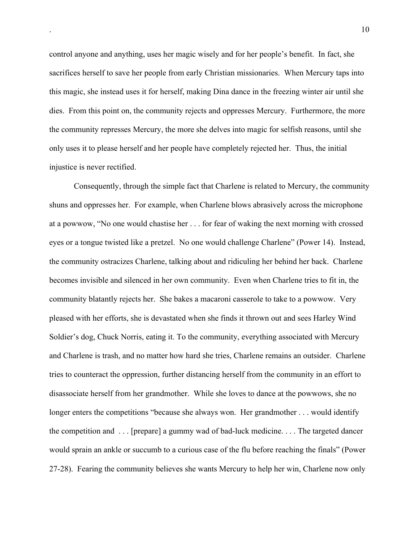control anyone and anything, uses her magic wisely and for her people's benefit. In fact, she sacrifices herself to save her people from early Christian missionaries. When Mercury taps into this magic, she instead uses it for herself, making Dina dance in the freezing winter air until she dies. From this point on, the community rejects and oppresses Mercury. Furthermore, the more the community represses Mercury, the more she delves into magic for selfish reasons, until she only uses it to please herself and her people have completely rejected her. Thus, the initial injustice is never rectified.

Consequently, through the simple fact that Charlene is related to Mercury, the community shuns and oppresses her. For example, when Charlene blows abrasively across the microphone at a powwow, "No one would chastise her . . . for fear of waking the next morning with crossed eyes or a tongue twisted like a pretzel. No one would challenge Charlene" (Power 14). Instead, the community ostracizes Charlene, talking about and ridiculing her behind her back. Charlene becomes invisible and silenced in her own community. Even when Charlene tries to fit in, the community blatantly rejects her. She bakes a macaroni casserole to take to a powwow. Very pleased with her efforts, she is devastated when she finds it thrown out and sees Harley Wind Soldier's dog, Chuck Norris, eating it. To the community, everything associated with Mercury and Charlene is trash, and no matter how hard she tries, Charlene remains an outsider. Charlene tries to counteract the oppression, further distancing herself from the community in an effort to disassociate herself from her grandmother. While she loves to dance at the powwows, she no longer enters the competitions "because she always won. Her grandmother . . . would identify the competition and . . . [prepare] a gummy wad of bad-luck medicine. . . . The targeted dancer would sprain an ankle or succumb to a curious case of the flu before reaching the finals" (Power 27-28). Fearing the community believes she wants Mercury to help her win, Charlene now only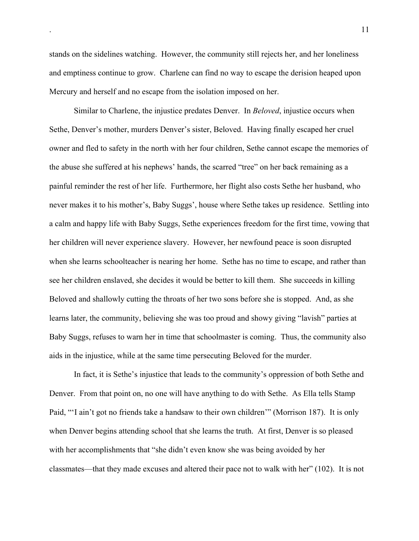stands on the sidelines watching. However, the community still rejects her, and her loneliness and emptiness continue to grow. Charlene can find no way to escape the derision heaped upon Mercury and herself and no escape from the isolation imposed on her.

Similar to Charlene, the injustice predates Denver. In *Beloved*, injustice occurs when Sethe, Denver's mother, murders Denver's sister, Beloved. Having finally escaped her cruel owner and fled to safety in the north with her four children, Sethe cannot escape the memories of the abuse she suffered at his nephews' hands, the scarred "tree" on her back remaining as a painful reminder the rest of her life. Furthermore, her flight also costs Sethe her husband, who never makes it to his mother's, Baby Suggs', house where Sethe takes up residence. Settling into a calm and happy life with Baby Suggs, Sethe experiences freedom for the first time, vowing that her children will never experience slavery. However, her newfound peace is soon disrupted when she learns schoolteacher is nearing her home. Sethe has no time to escape, and rather than see her children enslaved, she decides it would be better to kill them. She succeeds in killing Beloved and shallowly cutting the throats of her two sons before she is stopped. And, as she learns later, the community, believing she was too proud and showy giving "lavish" parties at Baby Suggs, refuses to warn her in time that schoolmaster is coming. Thus, the community also aids in the injustice, while at the same time persecuting Beloved for the murder.

In fact, it is Sethe's injustice that leads to the community's oppression of both Sethe and Denver. From that point on, no one will have anything to do with Sethe. As Ella tells Stamp Paid, "'I ain't got no friends take a handsaw to their own children'" (Morrison 187). It is only when Denver begins attending school that she learns the truth. At first, Denver is so pleased with her accomplishments that "she didn't even know she was being avoided by her classmates—that they made excuses and altered their pace not to walk with her" (102). It is not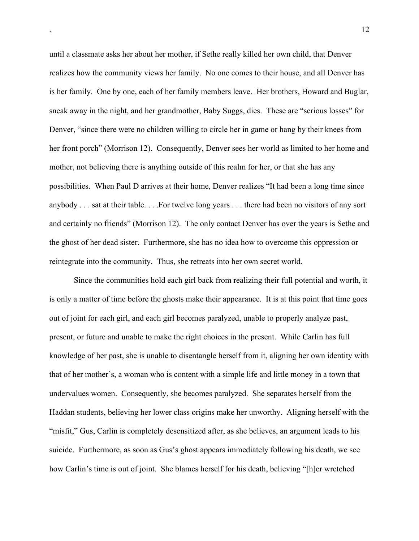until a classmate asks her about her mother, if Sethe really killed her own child, that Denver realizes how the community views her family. No one comes to their house, and all Denver has is her family. One by one, each of her family members leave. Her brothers, Howard and Buglar, sneak away in the night, and her grandmother, Baby Suggs, dies. These are "serious losses" for Denver, "since there were no children willing to circle her in game or hang by their knees from her front porch" (Morrison 12). Consequently, Denver sees her world as limited to her home and mother, not believing there is anything outside of this realm for her, or that she has any possibilities. When Paul D arrives at their home, Denver realizes "It had been a long time since anybody . . . sat at their table. . . .For twelve long years . . . there had been no visitors of any sort and certainly no friends" (Morrison 12). The only contact Denver has over the years is Sethe and the ghost of her dead sister. Furthermore, she has no idea how to overcome this oppression or reintegrate into the community. Thus, she retreats into her own secret world.

Since the communities hold each girl back from realizing their full potential and worth, it is only a matter of time before the ghosts make their appearance. It is at this point that time goes out of joint for each girl, and each girl becomes paralyzed, unable to properly analyze past, present, or future and unable to make the right choices in the present. While Carlin has full knowledge of her past, she is unable to disentangle herself from it, aligning her own identity with that of her mother's, a woman who is content with a simple life and little money in a town that undervalues women. Consequently, she becomes paralyzed. She separates herself from the Haddan students, believing her lower class origins make her unworthy. Aligning herself with the "misfit," Gus, Carlin is completely desensitized after, as she believes, an argument leads to his suicide. Furthermore, as soon as Gus's ghost appears immediately following his death, we see how Carlin's time is out of joint. She blames herself for his death, believing "[h]er wretched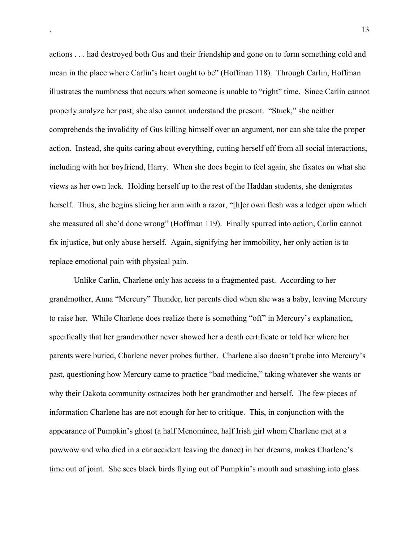actions . . . had destroyed both Gus and their friendship and gone on to form something cold and mean in the place where Carlin's heart ought to be" (Hoffman 118). Through Carlin, Hoffman illustrates the numbness that occurs when someone is unable to "right" time. Since Carlin cannot properly analyze her past, she also cannot understand the present. "Stuck," she neither comprehends the invalidity of Gus killing himself over an argument, nor can she take the proper action. Instead, she quits caring about everything, cutting herself off from all social interactions, including with her boyfriend, Harry. When she does begin to feel again, she fixates on what she views as her own lack. Holding herself up to the rest of the Haddan students, she denigrates herself. Thus, she begins slicing her arm with a razor, "[h]er own flesh was a ledger upon which she measured all she'd done wrong" (Hoffman 119). Finally spurred into action, Carlin cannot fix injustice, but only abuse herself. Again, signifying her immobility, her only action is to replace emotional pain with physical pain.

Unlike Carlin, Charlene only has access to a fragmented past. According to her grandmother, Anna "Mercury" Thunder, her parents died when she was a baby, leaving Mercury to raise her. While Charlene does realize there is something "off" in Mercury's explanation, specifically that her grandmother never showed her a death certificate or told her where her parents were buried, Charlene never probes further. Charlene also doesn't probe into Mercury's past, questioning how Mercury came to practice "bad medicine," taking whatever she wants or why their Dakota community ostracizes both her grandmother and herself. The few pieces of information Charlene has are not enough for her to critique. This, in conjunction with the appearance of Pumpkin's ghost (a half Menominee, half Irish girl whom Charlene met at a powwow and who died in a car accident leaving the dance) in her dreams, makes Charlene's time out of joint. She sees black birds flying out of Pumpkin's mouth and smashing into glass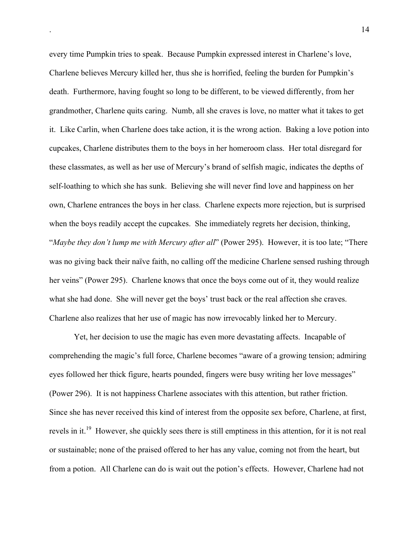every time Pumpkin tries to speak. Because Pumpkin expressed interest in Charlene's love, Charlene believes Mercury killed her, thus she is horrified, feeling the burden for Pumpkin's death. Furthermore, having fought so long to be different, to be viewed differently, from her grandmother, Charlene quits caring. Numb, all she craves is love, no matter what it takes to get it. Like Carlin, when Charlene does take action, it is the wrong action. Baking a love potion into cupcakes, Charlene distributes them to the boys in her homeroom class. Her total disregard for these classmates, as well as her use of Mercury's brand of selfish magic, indicates the depths of self-loathing to which she has sunk. Believing she will never find love and happiness on her own, Charlene entrances the boys in her class. Charlene expects more rejection, but is surprised when the boys readily accept the cupcakes. She immediately regrets her decision, thinking, "*Maybe they don't lump me with Mercury after all*" (Power 295). However, it is too late; "There was no giving back their naïve faith, no calling off the medicine Charlene sensed rushing through her veins" (Power 295). Charlene knows that once the boys come out of it, they would realize what she had done. She will never get the boys' trust back or the real affection she craves. Charlene also realizes that her use of magic has now irrevocably linked her to Mercury.

Yet, her decision to use the magic has even more devastating affects. Incapable of comprehending the magic's full force, Charlene becomes "aware of a growing tension; admiring eyes followed her thick figure, hearts pounded, fingers were busy writing her love messages" (Power 296). It is not happiness Charlene associates with this attention, but rather friction. Since she has never received this kind of interest from the opposite sex before, Charlene, at first, revels in it.<sup>19</sup> However, she quickly sees there is still emptiness in this attention, for it is not real or sustainable; none of the praised offered to her has any value, coming not from the heart, but from a potion. All Charlene can do is wait out the potion's effects. However, Charlene had not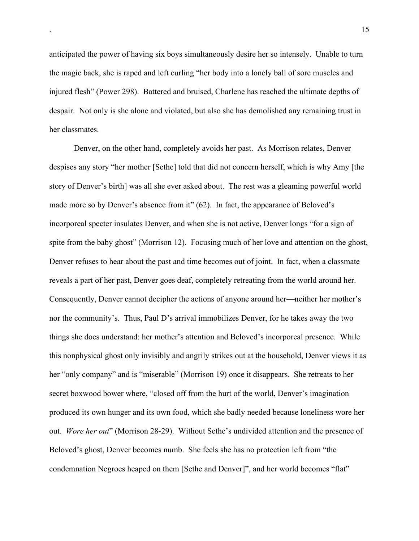anticipated the power of having six boys simultaneously desire her so intensely. Unable to turn the magic back, she is raped and left curling "her body into a lonely ball of sore muscles and injured flesh" (Power 298). Battered and bruised, Charlene has reached the ultimate depths of despair. Not only is she alone and violated, but also she has demolished any remaining trust in her classmates.

Denver, on the other hand, completely avoids her past. As Morrison relates, Denver despises any story "her mother [Sethe] told that did not concern herself, which is why Amy [the story of Denver's birth] was all she ever asked about. The rest was a gleaming powerful world made more so by Denver's absence from it" (62). In fact, the appearance of Beloved's incorporeal specter insulates Denver, and when she is not active, Denver longs "for a sign of spite from the baby ghost" (Morrison 12). Focusing much of her love and attention on the ghost, Denver refuses to hear about the past and time becomes out of joint. In fact, when a classmate reveals a part of her past, Denver goes deaf, completely retreating from the world around her. Consequently, Denver cannot decipher the actions of anyone around her—neither her mother's nor the community's. Thus, Paul D's arrival immobilizes Denver, for he takes away the two things she does understand: her mother's attention and Beloved's incorporeal presence. While this nonphysical ghost only invisibly and angrily strikes out at the household, Denver views it as her "only company" and is "miserable" (Morrison 19) once it disappears. She retreats to her secret boxwood bower where, "closed off from the hurt of the world, Denver's imagination produced its own hunger and its own food, which she badly needed because loneliness wore her out. *Wore her out*" (Morrison 28-29). Without Sethe's undivided attention and the presence of Beloved's ghost, Denver becomes numb. She feels she has no protection left from "the condemnation Negroes heaped on them [Sethe and Denver]", and her world becomes "flat"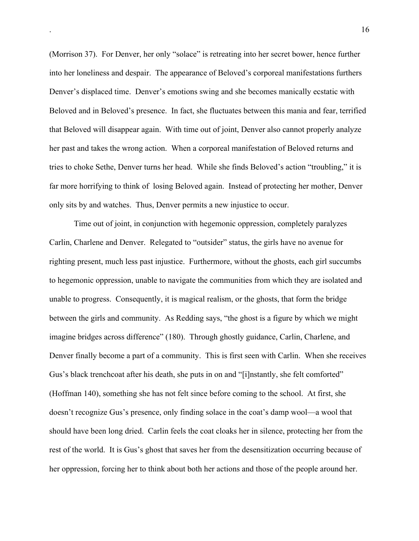(Morrison 37). For Denver, her only "solace" is retreating into her secret bower, hence further into her loneliness and despair. The appearance of Beloved's corporeal manifestations furthers Denver's displaced time. Denver's emotions swing and she becomes manically ecstatic with Beloved and in Beloved's presence. In fact, she fluctuates between this mania and fear, terrified that Beloved will disappear again. With time out of joint, Denver also cannot properly analyze her past and takes the wrong action. When a corporeal manifestation of Beloved returns and tries to choke Sethe, Denver turns her head. While she finds Beloved's action "troubling," it is far more horrifying to think of losing Beloved again. Instead of protecting her mother, Denver only sits by and watches. Thus, Denver permits a new injustice to occur.

Time out of joint, in conjunction with hegemonic oppression, completely paralyzes Carlin, Charlene and Denver. Relegated to "outsider" status, the girls have no avenue for righting present, much less past injustice. Furthermore, without the ghosts, each girl succumbs to hegemonic oppression, unable to navigate the communities from which they are isolated and unable to progress. Consequently, it is magical realism, or the ghosts, that form the bridge between the girls and community. As Redding says, "the ghost is a figure by which we might imagine bridges across difference" (180). Through ghostly guidance, Carlin, Charlene, and Denver finally become a part of a community. This is first seen with Carlin. When she receives Gus's black trenchcoat after his death, she puts in on and "[i]nstantly, she felt comforted" (Hoffman 140), something she has not felt since before coming to the school. At first, she doesn't recognize Gus's presence, only finding solace in the coat's damp wool—a wool that should have been long dried. Carlin feels the coat cloaks her in silence, protecting her from the rest of the world. It is Gus's ghost that saves her from the desensitization occurring because of her oppression, forcing her to think about both her actions and those of the people around her.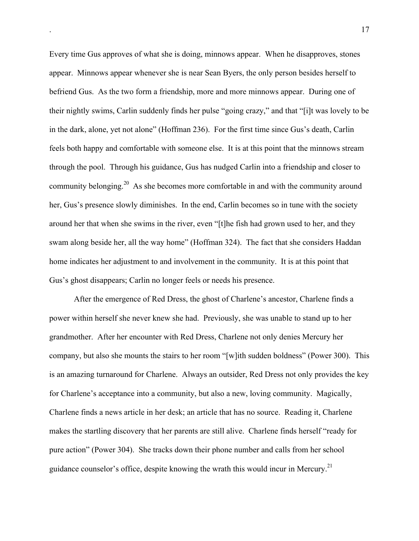Every time Gus approves of what she is doing, minnows appear. When he disapproves, stones appear. Minnows appear whenever she is near Sean Byers, the only person besides herself to befriend Gus. As the two form a friendship, more and more minnows appear. During one of their nightly swims, Carlin suddenly finds her pulse "going crazy," and that "[i]t was lovely to be in the dark, alone, yet not alone" (Hoffman 236). For the first time since Gus's death, Carlin feels both happy and comfortable with someone else. It is at this point that the minnows stream through the pool. Through his guidance, Gus has nudged Carlin into a friendship and closer to community belonging.<sup>20</sup> As she becomes more comfortable in and with the community around her, Gus's presence slowly diminishes. In the end, Carlin becomes so in tune with the society around her that when she swims in the river, even "[t]he fish had grown used to her, and they swam along beside her, all the way home" (Hoffman 324). The fact that she considers Haddan home indicates her adjustment to and involvement in the community. It is at this point that Gus's ghost disappears; Carlin no longer feels or needs his presence.

After the emergence of Red Dress, the ghost of Charlene's ancestor, Charlene finds a power within herself she never knew she had. Previously, she was unable to stand up to her grandmother. After her encounter with Red Dress, Charlene not only denies Mercury her company, but also she mounts the stairs to her room "[w]ith sudden boldness" (Power 300). This is an amazing turnaround for Charlene. Always an outsider, Red Dress not only provides the key for Charlene's acceptance into a community, but also a new, loving community. Magically, Charlene finds a news article in her desk; an article that has no source. Reading it, Charlene makes the startling discovery that her parents are still alive. Charlene finds herself "ready for pure action" (Power 304). She tracks down their phone number and calls from her school guidance counselor's office, despite knowing the wrath this would incur in Mercury.<sup>21</sup>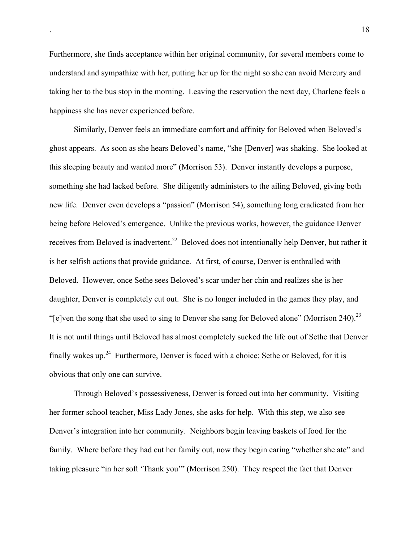Furthermore, she finds acceptance within her original community, for several members come to understand and sympathize with her, putting her up for the night so she can avoid Mercury and taking her to the bus stop in the morning. Leaving the reservation the next day, Charlene feels a happiness she has never experienced before.

Similarly, Denver feels an immediate comfort and affinity for Beloved when Beloved's ghost appears. As soon as she hears Beloved's name, "she [Denver] was shaking. She looked at this sleeping beauty and wanted more" (Morrison 53). Denver instantly develops a purpose, something she had lacked before. She diligently administers to the ailing Beloved, giving both new life. Denver even develops a "passion" (Morrison 54), something long eradicated from her being before Beloved's emergence. Unlike the previous works, however, the guidance Denver receives from Beloved is inadvertent.<sup>22</sup> Beloved does not intentionally help Denver, but rather it is her selfish actions that provide guidance. At first, of course, Denver is enthralled with Beloved. However, once Sethe sees Beloved's scar under her chin and realizes she is her daughter, Denver is completely cut out. She is no longer included in the games they play, and "[e]ven the song that she used to sing to Denver she sang for Beloved alone" (Morrison 240). $^{23}$ It is not until things until Beloved has almost completely sucked the life out of Sethe that Denver finally wakes up.<sup>24</sup> Furthermore, Denver is faced with a choice: Sethe or Beloved, for it is obvious that only one can survive.

Through Beloved's possessiveness, Denver is forced out into her community. Visiting her former school teacher, Miss Lady Jones, she asks for help. With this step, we also see Denver's integration into her community. Neighbors begin leaving baskets of food for the family. Where before they had cut her family out, now they begin caring "whether she ate" and taking pleasure "in her soft 'Thank you'" (Morrison 250). They respect the fact that Denver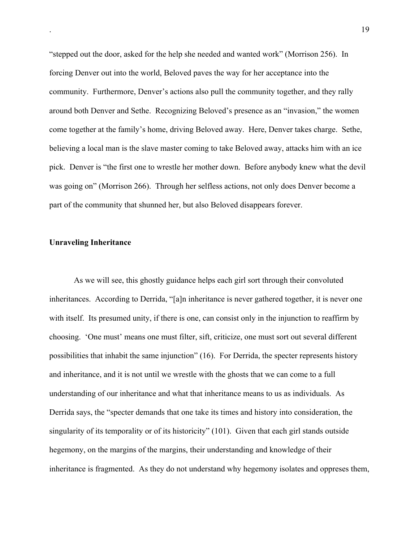"stepped out the door, asked for the help she needed and wanted work" (Morrison 256). In forcing Denver out into the world, Beloved paves the way for her acceptance into the community. Furthermore, Denver's actions also pull the community together, and they rally around both Denver and Sethe. Recognizing Beloved's presence as an "invasion," the women come together at the family's home, driving Beloved away. Here, Denver takes charge. Sethe, believing a local man is the slave master coming to take Beloved away, attacks him with an ice pick. Denver is "the first one to wrestle her mother down. Before anybody knew what the devil was going on" (Morrison 266). Through her selfless actions, not only does Denver become a part of the community that shunned her, but also Beloved disappears forever.

## Unraveling Inheritance

As we will see, this ghostly guidance helps each girl sort through their convoluted inheritances. According to Derrida, "[a]n inheritance is never gathered together, it is never one with itself. Its presumed unity, if there is one, can consist only in the injunction to reaffirm by choosing. 'One must' means one must filter, sift, criticize, one must sort out several different possibilities that inhabit the same injunction" (16). For Derrida, the specter represents history and inheritance, and it is not until we wrestle with the ghosts that we can come to a full understanding of our inheritance and what that inheritance means to us as individuals. As Derrida says, the "specter demands that one take its times and history into consideration, the singularity of its temporality or of its historicity" (101). Given that each girl stands outside hegemony, on the margins of the margins, their understanding and knowledge of their inheritance is fragmented. As they do not understand why hegemony isolates and oppreses them,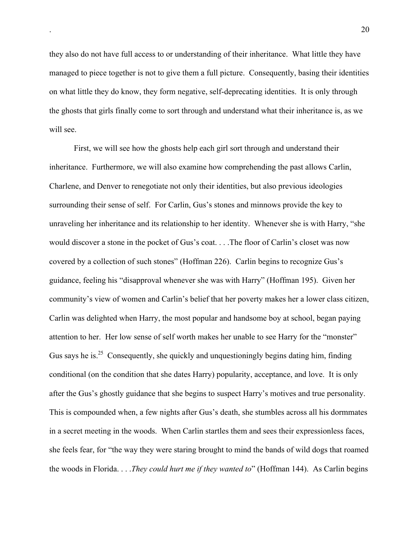they also do not have full access to or understanding of their inheritance. What little they have managed to piece together is not to give them a full picture. Consequently, basing their identities on what little they do know, they form negative, self-deprecating identities. It is only through the ghosts that girls finally come to sort through and understand what their inheritance is, as we will see.

First, we will see how the ghosts help each girl sort through and understand their inheritance. Furthermore, we will also examine how comprehending the past allows Carlin, Charlene, and Denver to renegotiate not only their identities, but also previous ideologies surrounding their sense of self. For Carlin, Gus's stones and minnows provide the key to unraveling her inheritance and its relationship to her identity. Whenever she is with Harry, "she would discover a stone in the pocket of Gus's coat. . . .The floor of Carlin's closet was now covered by a collection of such stones" (Hoffman 226). Carlin begins to recognize Gus's guidance, feeling his "disapproval whenever she was with Harry" (Hoffman 195). Given her community's view of women and Carlin's belief that her poverty makes her a lower class citizen, Carlin was delighted when Harry, the most popular and handsome boy at school, began paying attention to her. Her low sense of self worth makes her unable to see Harry for the "monster" Gus says he is.<sup>25</sup> Consequently, she quickly and unquestioningly begins dating him, finding conditional (on the condition that she dates Harry) popularity, acceptance, and love. It is only after the Gus's ghostly guidance that she begins to suspect Harry's motives and true personality. This is compounded when, a few nights after Gus's death, she stumbles across all his dormmates in a secret meeting in the woods. When Carlin startles them and sees their expressionless faces, she feels fear, for "the way they were staring brought to mind the bands of wild dogs that roamed the woods in Florida. . . .*They could hurt me if they wanted to*" (Hoffman 144). As Carlin begins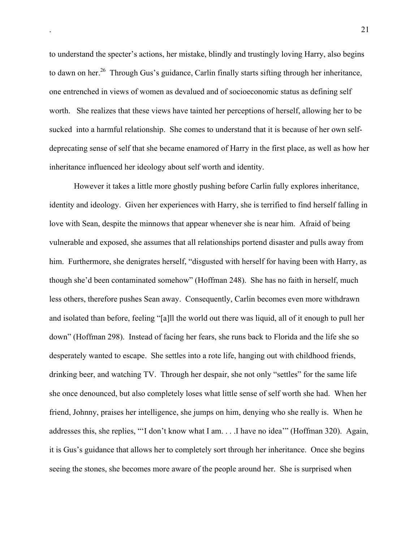to understand the specter's actions, her mistake, blindly and trustingly loving Harry, also begins to dawn on her.<sup>26</sup> Through Gus's guidance, Carlin finally starts sifting through her inheritance, one entrenched in views of women as devalued and of socioeconomic status as defining self worth. She realizes that these views have tainted her perceptions of herself, allowing her to be sucked into a harmful relationship. She comes to understand that it is because of her own selfdeprecating sense of self that she became enamored of Harry in the first place, as well as how her inheritance influenced her ideology about self worth and identity.

However it takes a little more ghostly pushing before Carlin fully explores inheritance, identity and ideology. Given her experiences with Harry, she is terrified to find herself falling in love with Sean, despite the minnows that appear whenever she is near him. Afraid of being vulnerable and exposed, she assumes that all relationships portend disaster and pulls away from him. Furthermore, she denigrates herself, "disgusted with herself for having been with Harry, as though she'd been contaminated somehow" (Hoffman 248). She has no faith in herself, much less others, therefore pushes Sean away. Consequently, Carlin becomes even more withdrawn and isolated than before, feeling "[a]ll the world out there was liquid, all of it enough to pull her down" (Hoffman 298). Instead of facing her fears, she runs back to Florida and the life she so desperately wanted to escape. She settles into a rote life, hanging out with childhood friends, drinking beer, and watching TV. Through her despair, she not only "settles" for the same life she once denounced, but also completely loses what little sense of self worth she had. When her friend, Johnny, praises her intelligence, she jumps on him, denying who she really is. When he addresses this, she replies, "'I don't know what I am. . . .I have no idea'" (Hoffman 320). Again, it is Gus's guidance that allows her to completely sort through her inheritance. Once she begins seeing the stones, she becomes more aware of the people around her. She is surprised when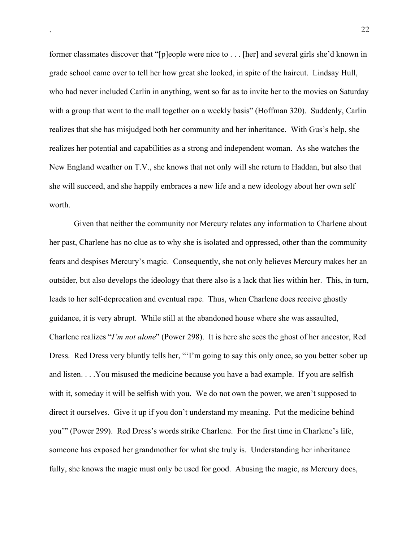former classmates discover that "[p]eople were nice to . . . [her] and several girls she'd known in grade school came over to tell her how great she looked, in spite of the haircut. Lindsay Hull, who had never included Carlin in anything, went so far as to invite her to the movies on Saturday with a group that went to the mall together on a weekly basis" (Hoffman 320). Suddenly, Carlin realizes that she has misjudged both her community and her inheritance. With Gus's help, she realizes her potential and capabilities as a strong and independent woman. As she watches the New England weather on T.V., she knows that not only will she return to Haddan, but also that she will succeed, and she happily embraces a new life and a new ideology about her own self worth.

Given that neither the community nor Mercury relates any information to Charlene about her past, Charlene has no clue as to why she is isolated and oppressed, other than the community fears and despises Mercury's magic. Consequently, she not only believes Mercury makes her an outsider, but also develops the ideology that there also is a lack that lies within her. This, in turn, leads to her self-deprecation and eventual rape. Thus, when Charlene does receive ghostly guidance, it is very abrupt. While still at the abandoned house where she was assaulted, Charlene realizes "*I'm not alone*" (Power 298). It is here she sees the ghost of her ancestor, Red Dress. Red Dress very bluntly tells her, "'I'm going to say this only once, so you better sober up and listen. . . .You misused the medicine because you have a bad example. If you are selfish with it, someday it will be selfish with you. We do not own the power, we aren't supposed to direct it ourselves. Give it up if you don't understand my meaning. Put the medicine behind you'" (Power 299). Red Dress's words strike Charlene. For the first time in Charlene's life, someone has exposed her grandmother for what she truly is. Understanding her inheritance fully, she knows the magic must only be used for good. Abusing the magic, as Mercury does,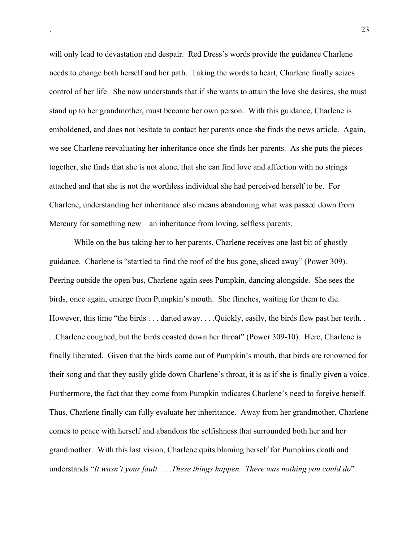will only lead to devastation and despair. Red Dress's words provide the guidance Charlene needs to change both herself and her path. Taking the words to heart, Charlene finally seizes control of her life. She now understands that if she wants to attain the love she desires, she must stand up to her grandmother, must become her own person. With this guidance, Charlene is emboldened, and does not hesitate to contact her parents once she finds the news article. Again, we see Charlene reevaluating her inheritance once she finds her parents. As she puts the pieces together, she finds that she is not alone, that she can find love and affection with no strings attached and that she is not the worthless individual she had perceived herself to be. For Charlene, understanding her inheritance also means abandoning what was passed down from Mercury for something new—an inheritance from loving, selfless parents.

While on the bus taking her to her parents, Charlene receives one last bit of ghostly guidance. Charlene is "startled to find the roof of the bus gone, sliced away" (Power 309). Peering outside the open bus, Charlene again sees Pumpkin, dancing alongside. She sees the birds, once again, emerge from Pumpkin's mouth. She flinches, waiting for them to die. However, this time "the birds . . . darted away. . . .Quickly, easily, the birds flew past her teeth. . . .Charlene coughed, but the birds coasted down her throat" (Power 309-10). Here, Charlene is finally liberated. Given that the birds come out of Pumpkin's mouth, that birds are renowned for their song and that they easily glide down Charlene's throat, it is as if she is finally given a voice. Furthermore, the fact that they come from Pumpkin indicates Charlene's need to forgive herself. Thus, Charlene finally can fully evaluate her inheritance. Away from her grandmother, Charlene comes to peace with herself and abandons the selfishness that surrounded both her and her grandmother. With this last vision, Charlene quits blaming herself for Pumpkins death and understands "*It wasn't your fault. . . .These things happen. There was nothing you could do*"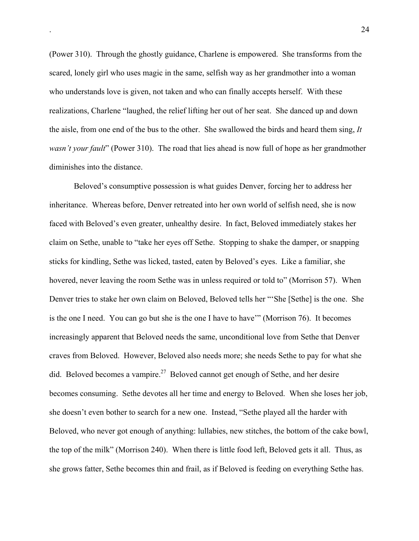(Power 310). Through the ghostly guidance, Charlene is empowered. She transforms from the scared, lonely girl who uses magic in the same, selfish way as her grandmother into a woman who understands love is given, not taken and who can finally accepts herself. With these realizations, Charlene "laughed, the relief lifting her out of her seat. She danced up and down the aisle, from one end of the bus to the other. She swallowed the birds and heard them sing, *It wasn't your fault*" (Power 310). The road that lies ahead is now full of hope as her grandmother diminishes into the distance.

Beloved's consumptive possession is what guides Denver, forcing her to address her inheritance. Whereas before, Denver retreated into her own world of selfish need, she is now faced with Beloved's even greater, unhealthy desire. In fact, Beloved immediately stakes her claim on Sethe, unable to "take her eyes off Sethe. Stopping to shake the damper, or snapping sticks for kindling, Sethe was licked, tasted, eaten by Beloved's eyes. Like a familiar, she hovered, never leaving the room Sethe was in unless required or told to" (Morrison 57). When Denver tries to stake her own claim on Beloved, Beloved tells her "'She [Sethe] is the one. She is the one I need. You can go but she is the one I have to have'" (Morrison 76). It becomes increasingly apparent that Beloved needs the same, unconditional love from Sethe that Denver craves from Beloved. However, Beloved also needs more; she needs Sethe to pay for what she did. Beloved becomes a vampire.<sup>27</sup> Beloved cannot get enough of Sethe, and her desire becomes consuming. Sethe devotes all her time and energy to Beloved. When she loses her job, she doesn't even bother to search for a new one. Instead, "Sethe played all the harder with Beloved, who never got enough of anything: lullabies, new stitches, the bottom of the cake bowl, the top of the milk" (Morrison 240). When there is little food left, Beloved gets it all. Thus, as she grows fatter, Sethe becomes thin and frail, as if Beloved is feeding on everything Sethe has.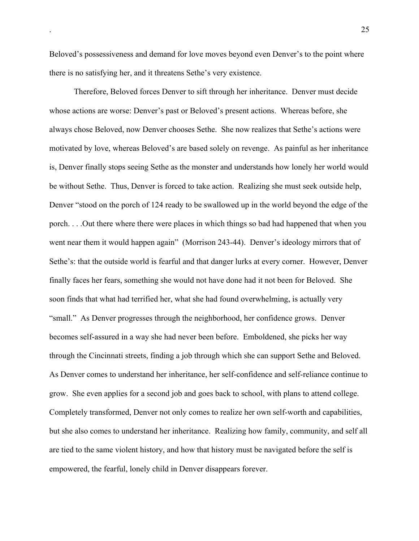Beloved's possessiveness and demand for love moves beyond even Denver's to the point where there is no satisfying her, and it threatens Sethe's very existence.

Therefore, Beloved forces Denver to sift through her inheritance. Denver must decide whose actions are worse: Denver's past or Beloved's present actions. Whereas before, she always chose Beloved, now Denver chooses Sethe. She now realizes that Sethe's actions were motivated by love, whereas Beloved's are based solely on revenge. As painful as her inheritance is, Denver finally stops seeing Sethe as the monster and understands how lonely her world would be without Sethe. Thus, Denver is forced to take action. Realizing she must seek outside help, Denver "stood on the porch of 124 ready to be swallowed up in the world beyond the edge of the porch. . . .Out there where there were places in which things so bad had happened that when you went near them it would happen again" (Morrison 243-44). Denver's ideology mirrors that of Sethe's: that the outside world is fearful and that danger lurks at every corner. However, Denver finally faces her fears, something she would not have done had it not been for Beloved. She soon finds that what had terrified her, what she had found overwhelming, is actually very "small." As Denver progresses through the neighborhood, her confidence grows. Denver becomes self-assured in a way she had never been before. Emboldened, she picks her way through the Cincinnati streets, finding a job through which she can support Sethe and Beloved. As Denver comes to understand her inheritance, her self-confidence and self-reliance continue to grow. She even applies for a second job and goes back to school, with plans to attend college. Completely transformed, Denver not only comes to realize her own self-worth and capabilities, but she also comes to understand her inheritance. Realizing how family, community, and self all are tied to the same violent history, and how that history must be navigated before the self is empowered, the fearful, lonely child in Denver disappears forever.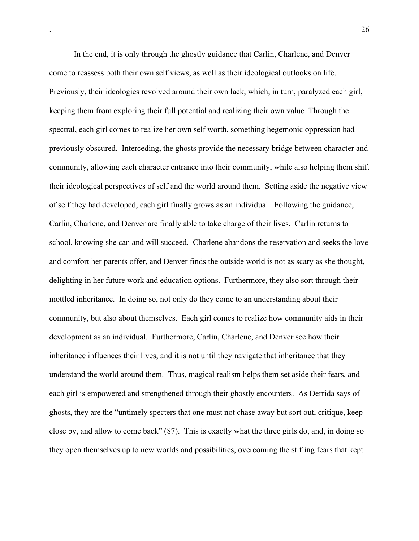In the end, it is only through the ghostly guidance that Carlin, Charlene, and Denver come to reassess both their own self views, as well as their ideological outlooks on life. Previously, their ideologies revolved around their own lack, which, in turn, paralyzed each girl, keeping them from exploring their full potential and realizing their own value Through the spectral, each girl comes to realize her own self worth, something hegemonic oppression had previously obscured. Interceding, the ghosts provide the necessary bridge between character and community, allowing each character entrance into their community, while also helping them shift their ideological perspectives of self and the world around them. Setting aside the negative view of self they had developed, each girl finally grows as an individual. Following the guidance, Carlin, Charlene, and Denver are finally able to take charge of their lives. Carlin returns to school, knowing she can and will succeed. Charlene abandons the reservation and seeks the love and comfort her parents offer, and Denver finds the outside world is not as scary as she thought, delighting in her future work and education options. Furthermore, they also sort through their mottled inheritance. In doing so, not only do they come to an understanding about their community, but also about themselves. Each girl comes to realize how community aids in their development as an individual. Furthermore, Carlin, Charlene, and Denver see how their inheritance influences their lives, and it is not until they navigate that inheritance that they understand the world around them. Thus, magical realism helps them set aside their fears, and each girl is empowered and strengthened through their ghostly encounters. As Derrida says of ghosts, they are the "untimely specters that one must not chase away but sort out, critique, keep close by, and allow to come back" (87). This is exactly what the three girls do, and, in doing so they open themselves up to new worlds and possibilities, overcoming the stifling fears that kept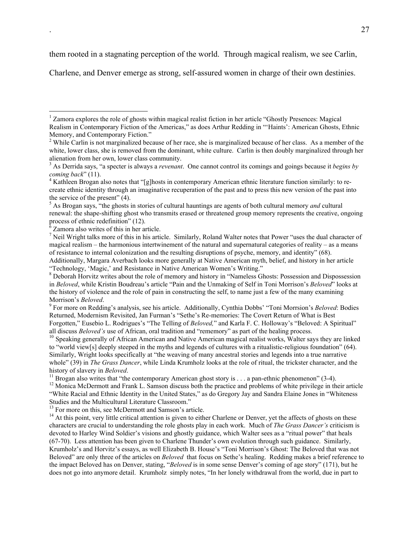them rooted in a stagnating perception of the world. Through magical realism, we see Carlin,

Charlene, and Denver emerge as strong, self-assured women in charge of their own destinies.

<sup>7</sup> Neil Wright talks more of this in his article. Similarly, Roland Walter notes that Power "uses the dual character of magical realism – the harmonious intertwinement of the natural and supernatural categories of reality – as a means of resistance to internal colonization and the resulting disruptions of psyche, memory, and identity" (68). Additionally, Margara Averbach looks more generally at Native American myth, belief, and history in her article "Technology, 'Magic,' and Resistance in Native American Women's Writing."

<sup>8</sup> Deborah Horvitz writes about the role of memory and history in "Nameless Ghosts: Possession and Dispossession in *Beloved*, while Kristin Boudreau's article "Pain and the Unmaking of Self in Toni Morrison's *Beloved*" looks at the history of violence and the role of pain in constructing the self, to name just a few of the many examining Morrison's *Beloved*.

 For more on Redding's analysis, see his article. Additionally, Cynthia Dobbs' "Toni Morrsion's *Beloved*: Bodies Returned, Modernism Revisited, Jan Furman's "Sethe's Re-memories: The Covert Return of What is Best Forgotten," Eusebio L. Rodrigues's "The Telling of *Beloved*," and Karla F. C. Holloway's "Beloved: A Spiritual" all discuss *Beloved's* use of African, oral tradition and "rememory" as part of the healing process.

<sup>10</sup> Speaking generally of African American and Native American magical realist works, Walter says they are linked to "world view[s] deeply steeped in the myths and legends of cultures with a ritualistic-religious foundation" (64). Similarly, Wright looks specifically at "the weaving of many ancestral stories and legends into a true narrative whole" (39) in *The Grass Dancer*, while Linda Krumholz looks at the role of ritual, the trickster character, and the history of slavery in *Beloved*.

<sup>11</sup> Brogan also writes that "the contemporary American ghost story is  $\dots$  a pan-ethnic phenomenon" (3-4).

<sup>12</sup> Monica McDermott and Frank L. Samson discuss both the practice and problems of white privilege in their article "White Racial and Ethnic Identity in the United States," as do Gregory Jay and Sandra Elaine Jones in "Whiteness Studies and the Multicultural Literature Classroom."

<sup>13</sup> For more on this, see McDermott and Samson's article.

<sup>14</sup> At this point, very little critical attention is given to either Charlene or Denver, yet the affects of ghosts on these characters are crucial to understanding the role ghosts play in each work. Much of *The Grass Dancer's* criticism is devoted to Harley Wind Soldier's visions and ghostly guidance, which Walter sees as a "ritual power" that heals (67-70). Less attention has been given to Charlene Thunder's own evolution through such guidance. Similarly, Krumholz's and Horvitz's essays, as well Elizabeth B. House's "Toni Morrison's Ghost: The Beloved that was not Beloved" are only three of the articles on *Beloved* that focus on Sethe's healing. Redding makes a brief reference to the impact Beloved has on Denver, stating, "*Beloved* is in some sense Denver's coming of age story" (171), but he does not go into anymore detail. Krumholz simply notes, "In her lonely withdrawal from the world, due in part to

 $\frac{1}{1}$ <sup>1</sup> Zamora explores the role of ghosts within magical realist fiction in her article "Ghostly Presences: Magical Realism in Contemporary Fiction of the Americas," as does Arthur Redding in "'Haints': American Ghosts, Ethnic Memory, and Contemporary Fiction."

<sup>&</sup>lt;sup>2</sup> While Carlin is not marginalized because of her race, she is marginalized because of her class. As a member of the white, lower class, she is removed from the dominant, white culture. Carlin is then doubly marginalized through her alienation from her own, lower class community.

<sup>3</sup> As Derrida says, "a specter is always a *revenant*. One cannot control its comings and goings because it *begins by coming back*" (11).

<sup>&</sup>lt;sup>4</sup> Kathleen Brogan also notes that "[g]hosts in contemporary American ethnic literature function similarly: to recreate ethnic identity through an imaginative recuperation of the past and to press this new version of the past into the service of the present" (4).

<sup>&</sup>lt;sup>5</sup> As Brogan says, "the ghosts in stories of cultural hauntings are agents of both cultural memory *and* cultural renewal: the shape-shifting ghost who transmits erased or threatened group memory represents the creative, ongoing process of ethnic redefinition" (12).<br><sup>6</sup> Zamora also writes of this in her article.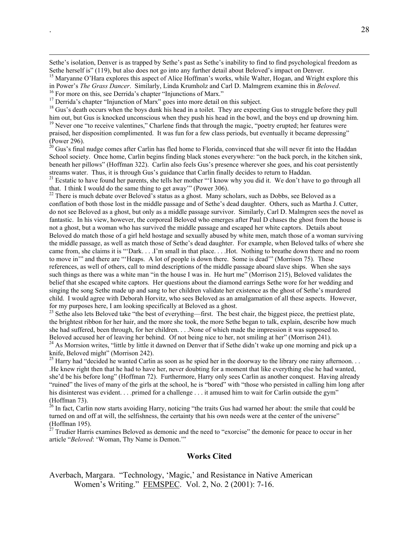Sethe's isolation, Denver is as trapped by Sethe's past as Sethe's inability to find to find psychological freedom as Sethe herself is" (119), but also does not go into any further detail about Beloved's impact on Denver.

<sup>15</sup> Maryanne O'Hara explores this aspect of Alice Hoffman's works, while Walter, Hogan, and Wright explore this in Power's *The Grass Dancer*. Similarly, Linda Krumholz and Carl D. Malmgrem examine this in *Beloved*. <sup>16</sup>

<sup>16</sup> For more on this, see Derrida's chapter "Injunctions of Marx."<br><sup>17</sup> Derrida's chapter "Injunction of Marx" goes into more detail on this subject.

<sup>18</sup> Gus's death occurs when the boys dunk his head in a toilet. They are expecting Gus to struggle before they pull him out, but Gus is knocked unconscious when they push his head in the bowl, and the boys end up drowning him. <sup>19</sup> Never one "to receive valentines," Charlene finds that through the magic, "poetry erupted; her features were

praised, her disposition complimented. It was fun for a few class periods, but eventually it became depressing"

(Power 296).<br><sup>20</sup> Gus's final nudge comes after Carlin has fled home to Florida, convinced that she will never fit into the Haddan School society. Once home, Carlin begins finding black stones everywhere: "on the back porch, in the kitchen sink, beneath her pillows" (Hoffman 322). Carlin also feels Gus's presence wherever she goes, and his coat persistently streams water. Thus, it is through Gus's guidance that Carlin finally decides to return to Haddan.

<sup>21</sup> Ecstatic to have found her parents, she tells her mother "'I know why you did it. We don't have to go through all that. I think I would do the same thing to get away'" (Power 306).

 $22$  There is much debate over Beloved's status as a ghost. Many scholars, such as Dobbs, see Beloved as a conflation of both those lost in the middle passage and of Sethe's dead daughter. Others, such as Martha J. Cutter, do not see Beloved as a ghost, but only as a middle passage survivor. Similarly, Carl D. Malmgren sees the novel as fantastic. In his view, however, the corporeal Beloved who emerges after Paul D chases the ghost from the house is not a ghost, but a woman who has survived the middle passage and escaped her white captors. Details about Beloved do match those of a girl held hostage and sexually abused by white men, match those of a woman surviving the middle passage, as well as match those of Sethe's dead daughter. For example, when Beloved talks of where she came from, she claims it is "'Dark. . . .I'm small in that place. . . .Hot. Nothing to breathe down there and no room to move in'" and there are "'Heaps. A lot of people is down there. Some is dead'" (Morrison 75). These references, as well of others, call to mind descriptions of the middle passage aboard slave ships. When she says such things as there was a white man "in the house I was in. He hurt me" (Morrison 215), Beloved validates the belief that she escaped white captors. Her questions about the diamond earrings Sethe wore for her wedding and singing the song Sethe made up and sang to her children validate her existence as the ghost of Sethe's murdered child. I would agree with Deborah Horvitz, who sees Beloved as an amalgamation of all these aspects. However, for my purposes here, I am looking specifically at Beloved as a ghost.

<sup>23</sup> Sethe also lets Beloved take "the best of everything—first. The best chair, the biggest piece, the prettiest plate, the brightest ribbon for her hair, and the more she took, the more Sethe began to talk, explain, describe how much she had suffered, been through, for her children. . . .None of which made the impression it was supposed to. Beloved accused her of leaving her behind. Of not being nice to her, not smiling at her" (Morrison 241).

<sup>24</sup> As Morrsion writes, "little by little it dawned on Denver that if Sethe didn't wake up one morning and pick up a knife, Beloved might" (Morrison 242).

<sup>25</sup> Harry had "decided he wanted Carlin as soon as he spied her in the doorway to the library one rainy afternoon... .He knew right then that he had to have her, never doubting for a moment that like everything else he had wanted, she'd be his before long" (Hoffman 72). Furthermore, Harry only sees Carlin as another conquest. Having already "ruined" the lives of many of the girls at the school, he is "bored" with "those who persisted in calling him long after his disinterest was evident. . . .primed for a challenge . . . it amused him to wait for Carlin outside the gym"

(Hoffman 73).<br><sup>26</sup> In fact, Carlin now starts avoiding Harry, noticing "the traits Gus had warned her about: the smile that could be turned on and off at will, the selfishness, the certainty that his own needs were at the center of the universe" (Hoffman 195).<br><sup>27</sup> Trudier Harris examines Beloved as demonic and the need to "exorcise" the demonic for peace to occur in her

article "*Beloved*: 'Woman, Thy Name is Demon.'"

## Works Cited

Averbach, Margara. "Technology, 'Magic,' and Resistance in Native American Women's Writing." FEMSPEC. Vol. 2, No. 2 (2001): 7-16.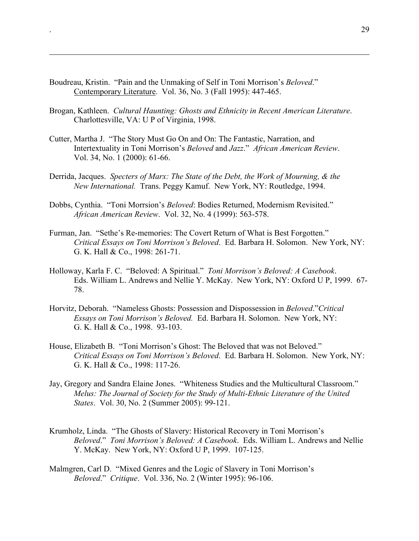Boudreau, Kristin. "Pain and the Unmaking of Self in Toni Morrison's *Beloved*." Contemporary Literature. Vol. 36, No. 3 (Fall 1995): 447-465.

 $\overline{a}$ 

- Brogan, Kathleen. *Cultural Haunting: Ghosts and Ethnicity in Recent American Literature*. Charlottesville, VA: U P of Virginia, 1998.
- Cutter, Martha J. "The Story Must Go On and On: The Fantastic, Narration, and Intertextuality in Toni Morrison's *Beloved* and *Jazz*." *African American Review*. Vol. 34, No. 1 (2000): 61-66.
- Derrida, Jacques. *Specters of Marx: The State of the Debt, the Work of Mourning, & the New International.* Trans. Peggy Kamuf. New York, NY: Routledge, 1994.
- Dobbs, Cynthia. "Toni Morrsion's *Beloved*: Bodies Returned, Modernism Revisited." *African American Review*. Vol. 32, No. 4 (1999): 563-578.
- Furman, Jan. "Sethe's Re-memories: The Covert Return of What is Best Forgotten." *Critical Essays on Toni Morrison's Beloved*. Ed. Barbara H. Solomon. New York, NY: G. K. Hall & Co., 1998: 261-71.
- Holloway, Karla F. C. "Beloved: A Spiritual." *Toni Morrison's Beloved: A Casebook*. Eds. William L. Andrews and Nellie Y. McKay. New York, NY: Oxford U P, 1999. 67- 78.
- Horvitz, Deborah. "Nameless Ghosts: Possession and Dispossession in *Beloved*."*Critical Essays on Toni Morrison's Beloved.* Ed. Barbara H. Solomon. New York, NY: G. K. Hall & Co., 1998. 93-103.
- House, Elizabeth B. "Toni Morrison's Ghost: The Beloved that was not Beloved." *Critical Essays on Toni Morrison's Beloved*. Ed. Barbara H. Solomon. New York, NY: G. K. Hall & Co., 1998: 117-26.
- Jay, Gregory and Sandra Elaine Jones. "Whiteness Studies and the Multicultural Classroom." *Melus: The Journal of Society for the Study of Multi-Ethnic Literature of the United States*. Vol. 30, No. 2 (Summer 2005): 99-121.
- Krumholz, Linda. "The Ghosts of Slavery: Historical Recovery in Toni Morrison's *Beloved*." *Toni Morrison's Beloved: A Casebook*. Eds. William L. Andrews and Nellie Y. McKay. New York, NY: Oxford U P, 1999. 107-125.
- Malmgren, Carl D. "Mixed Genres and the Logic of Slavery in Toni Morrison's *Beloved*." *Critique*. Vol. 336, No. 2 (Winter 1995): 96-106.